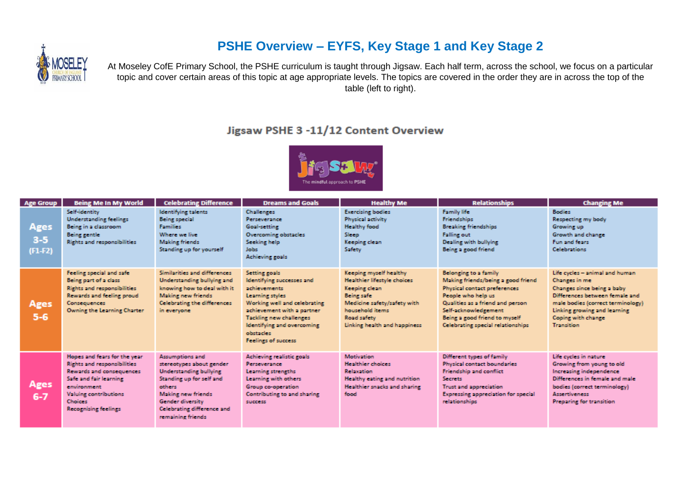# **PSHE Overview – EYFS, Key Stage 1 and Key Stage 2**



At Moseley CofE Primary School, the PSHE curriculum is taught through Jigsaw. Each half term, across the school, we focus on a particular topic and cover certain areas of this topic at age appropriate levels. The topics are covered in the order they are in across the top of the table (left to right).

### Jigsaw PSHE 3 -11/12 Content Overview



| <b>Age Group</b>             | <b>Being Me In My World</b>                                                                                                                                                                                              | <b>Celebrating Difference</b>                                                                                                                                                                                          | <b>Dreams and Goals</b>                                                                                                                                                                                                                         | <b>Healthy Me</b>                                                                                                                                                                            | <b>Relationships</b>                                                                                                                                                                                                                                       | <b>Changing Me</b>                                                                                                                                                                                                              |
|------------------------------|--------------------------------------------------------------------------------------------------------------------------------------------------------------------------------------------------------------------------|------------------------------------------------------------------------------------------------------------------------------------------------------------------------------------------------------------------------|-------------------------------------------------------------------------------------------------------------------------------------------------------------------------------------------------------------------------------------------------|----------------------------------------------------------------------------------------------------------------------------------------------------------------------------------------------|------------------------------------------------------------------------------------------------------------------------------------------------------------------------------------------------------------------------------------------------------------|---------------------------------------------------------------------------------------------------------------------------------------------------------------------------------------------------------------------------------|
| Ages<br>$3 - 5$<br>$(F1-F2)$ | Self-identity<br><b>Understanding feelings</b><br>Being in a classroom<br>Being gentle<br><b>Rights and responsibilities</b>                                                                                             | <b>Identifying talents</b><br><b>Being special</b><br><b>Families</b><br>Where we live<br><b>Making friends</b><br>Standing up for yourself                                                                            | <b>Challenges</b><br>Perseverance<br><b>Goal-setting</b><br><b>Overcoming obstacles</b><br>Seeking help<br><b>Jobs</b><br>Achieving goals                                                                                                       | <b>Exercising bodies</b><br><b>Physical activity</b><br><b>Healthy food</b><br>Sleep<br>Keeping clean<br>Safety                                                                              | <b>Family life</b><br><b>Friendships</b><br><b>Breaking friendships</b><br><b>Falling out</b><br>Dealing with bullying<br>Being a good friend                                                                                                              | <b>Bodies</b><br><b>Respecting my body</b><br>Growing up<br>Growth and change<br>Fun and fears<br><b>Celebrations</b>                                                                                                           |
| Ages<br>$5 - 6$              | Feeling special and safe<br>Being part of a class<br><b>Rights and responsibilities</b><br>Rewards and feeling proud<br>Consequences<br>Owning the Learning Charter                                                      | Similarities and differences<br>Understanding bullying and<br>knowing how to deal with it<br>Making new friends<br>Celebrating the differences<br>in everyone                                                          | Setting goals<br>Identifying successes and<br>achievements<br>Learning styles<br>Working well and celebrating<br>achievement with a partner<br>Tackling new challenges<br><b>Identifying and overcoming</b><br>obstacles<br>Feelings of success | Keeping myself healthy<br>Healthier lifestyle choices<br>Keeping clean<br><b>Being safe</b><br>Medicine safety/safety with<br>household items<br>Road safety<br>Linking health and happiness | <b>Belonging to a family</b><br>Making friends/being a good friend<br>Physical contact preferences<br>People who help us<br>Qualities as a friend and person<br>Self-acknowledgement<br>Being a good friend to myself<br>Celebrating special relationships | Life cycles - animal and human<br>Changes in me<br>Changes since being a baby<br>Differences between female and<br>male bodies (correct terminology)<br>Linking growing and learning<br>Coping with change<br><b>Transition</b> |
| Ages<br>$6 - 7$              | Hopes and fears for the year<br><b>Rights and responsibilities</b><br>Rewards and consequences<br>Safe and fair learning<br>environment<br><b>Valuing contributions</b><br><b>Choices</b><br><b>Recognising feelings</b> | Assumptions and<br>stereotypes about gender<br><b>Understanding bullying</b><br>Standing up for self and<br>others<br><b>Making new friends</b><br>Gender diversity<br>Celebrating difference and<br>remaining friends | Achieving realistic goals<br>Perseverance<br>Learning strengths<br>Learning with others<br>Group co-operation<br>Contributing to and sharing<br>success <sup>1</sup>                                                                            | Motivation<br><b>Healthier choices</b><br><b>Relaxation</b><br>Healthy eating and nutrition<br>Healthier snacks and sharing<br>food                                                          | Different types of family<br><b>Physical contact boundaries</b><br>Friendship and conflict<br><b>Secrets</b><br><b>Trust and appreciation</b><br>Expressing appreciation for special<br>relationships                                                      | Life cycles in nature<br>Growing from young to old<br>Increasing independence<br>Differences in female and male<br>bodies (correct terminology)<br><b>Assertiveness</b><br><b>Preparing for transition</b>                      |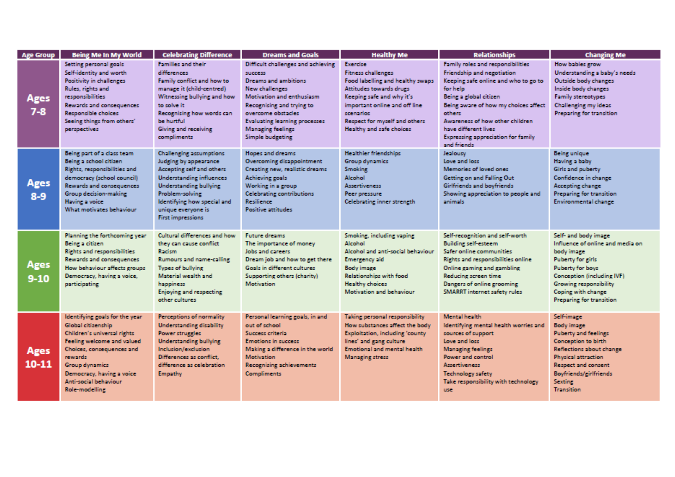| <b>Age Group</b> | <b>Being Me In My World</b>                                                                                                                                                                                                                          | <b>Celebrating Difference</b>                                                                                                                                                                                                                                | <b>Dreams and Goals</b>                                                                                                                                                                                                                                                       | <b>Healthy Me</b>                                                                                                                                                                                                                            | <b>Relationships</b>                                                                                                                                                                                                                                                                                                    | <b>Changing Me</b>                                                                                                                                                                                                                      |
|------------------|------------------------------------------------------------------------------------------------------------------------------------------------------------------------------------------------------------------------------------------------------|--------------------------------------------------------------------------------------------------------------------------------------------------------------------------------------------------------------------------------------------------------------|-------------------------------------------------------------------------------------------------------------------------------------------------------------------------------------------------------------------------------------------------------------------------------|----------------------------------------------------------------------------------------------------------------------------------------------------------------------------------------------------------------------------------------------|-------------------------------------------------------------------------------------------------------------------------------------------------------------------------------------------------------------------------------------------------------------------------------------------------------------------------|-----------------------------------------------------------------------------------------------------------------------------------------------------------------------------------------------------------------------------------------|
| Ages<br>$7 - 8$  | Setting personal goals<br>Self-identity and worth<br>Positivity in challenges<br>Rules, rights and<br><b>responsibilities</b><br>Rewards and consequences<br>Responsible choices<br>Seeing things from others'<br>perspectives                       | Families and their<br>differences<br>Family conflict and how to<br>manage it (child-centred)<br>Witnessing bullying and how<br>to solve it.<br>Recognising how words can<br>be hurtful<br>Giving and receiving<br>compliments                                | Difficult challenges and achieving<br>success<br><b>Dreams and ambitions</b><br><b>New challenges</b><br>Motivation and enthusiasm<br>Recognising and trying to<br>overcome obstacles<br><b>Evaluating learning processes</b><br><b>Managing feelings</b><br>Simple budgeting | Exercise<br><b>Fitness challenges</b><br>Food labelling and healthy swaps<br>Attitudes towards drugs<br>Keeping safe and why it's<br>important online and off line<br>scenarios<br>Respect for myself and others<br>Healthy and safe choices | Family roles and responsibilities<br>Friendship and negotiation<br>Keeping safe online and who to go to<br>for help<br>Being a global citizen<br>Being aware of how my choices affect<br>others<br>Awareness of how other children<br>have different lives.<br><b>Expressing appreciation for family</b><br>and friends | How babies grow<br>Understanding a baby's needs<br>Outside body changes<br>Inside body changes<br><b>Family stereotypes</b><br><b>Challenging my ideas</b><br>Preparing for transition                                                  |
| Ages<br>$8-9$    | Being part of a class team<br>Being a school citizen<br>Rights, responsibilities and<br>democracy (school council)<br>Rewards and consequences<br>Group decision-making<br>Having a voice<br>What motivates behaviour                                | <b>Challenging assumptions</b><br>Judging by appearance<br>Accepting self and others<br><b>Understanding influences</b><br><b>Understanding bullying</b><br>Problem-solving<br>Identifying how special and<br>unique everyone is<br><b>First impressions</b> | Hopes and dreams<br>Overcoming disappointment<br>Creating new, realistic dreams<br>Achieving goals<br>Working in a group<br><b>Celebrating contributions</b><br><b>Resilience</b><br><b>Positive attitudes</b>                                                                | <b>Healthier friendships</b><br><b>Group dynamics</b><br><b>Smoking</b><br>Alcohol<br><b>Assertiveness</b><br>Peer pressure<br>Celebrating inner strength                                                                                    | Jealousy<br>Love and loss<br>Memories of loved ones<br>Getting on and Falling Out<br>Girlfriends and boyfriends<br>Showing appreciation to people and<br>animals                                                                                                                                                        | <b>Being unique</b><br>Having a baby<br>Girls and puberty<br>Confidence in change<br>Accepting change<br>Preparing for transition<br><b>Environmental change</b>                                                                        |
| Ages<br>$9 - 10$ | Planning the forthcoming year<br>Being a citizen<br><b>Rights and responsibilities</b><br>Rewards and consequences<br>How behaviour affects croups<br>Democracy, having a voice,<br>participating                                                    | Cultural differences and how<br>they can cause conflict<br>Racism<br>Rumours and name-calling<br><b>Types of bullvine</b><br>Material wealth and<br>happiness<br>Enjoying and respecting<br>other cultures                                                   | Future dreams<br>The importance of money<br>Jobs and careers<br>Dream job and how to get there<br>Goals in different cultures<br>Supporting others (charity)<br><b>Motivation</b>                                                                                             | Smoking, including vaping<br>Alcohol<br>Alcohol and anti-social behaviour<br><b>Emergency aid</b><br><b>Body image</b><br>Relationships with food<br><b>Healthy choices</b><br>Motivation and behaviour                                      | Self-recognition and self-worth<br><b>Building self-esteem</b><br>Safer online communities<br>Rights and responsibilities online<br>Online caming and cambling<br>Reducing screen time<br>Dangers of online grooming<br>SMARRT internet safety rules                                                                    | Self- and body image<br>Influence of online and media on<br>body image<br><b>Puberty for girls</b><br><b>Puberty for boys</b><br>Conception (including IVF)<br>Growing responsibility<br>Coping with change<br>Preparing for transition |
| Ages<br>10-11    | Identifying goals for the year<br>Global citizenship<br>Children's universal rights<br>Feeling welcome and valued<br>Choices, consequences and<br>rewards.<br>Group dynamics<br>Democracy, having a voice<br>Anti-social behaviour<br>Role-modelling | Perceptions of normality<br><b>Understanding disability</b><br>Power struggles<br><b>Understanding bullying</b><br>Inclusion/exclusion<br>Differences as conflict.<br>difference as celebration<br>Empathy                                                   | Personal learning goals, in and<br>out of school<br>Success criteria<br><b>Emotions in success</b><br>Making a difference in the world<br>Motivation<br><b>Recognising achievements</b><br><b>Compliments</b>                                                                 | Taking personal responsibility<br>How substances affect the body<br>Exploitation, including 'county<br>lines' and gang culture<br>Emotional and mental health<br>Managing stress                                                             | <b>Mental health</b><br>Identifying mental health worries and<br>sources of support<br>Love and loss<br><b>Managing feelings</b><br>Power and control<br><b>Assertiveness</b><br><b>Technology safety</b><br>Take responsibility with technology<br>use.                                                                | Self-image<br><b>Body image</b><br><b>Puberty and feelings</b><br>Conception to birth<br>Reflections about change<br><b>Physical attraction</b><br>Respect and consent<br>Boyfriends/girlfriends<br><b>Sexting</b><br><b>Transition</b> |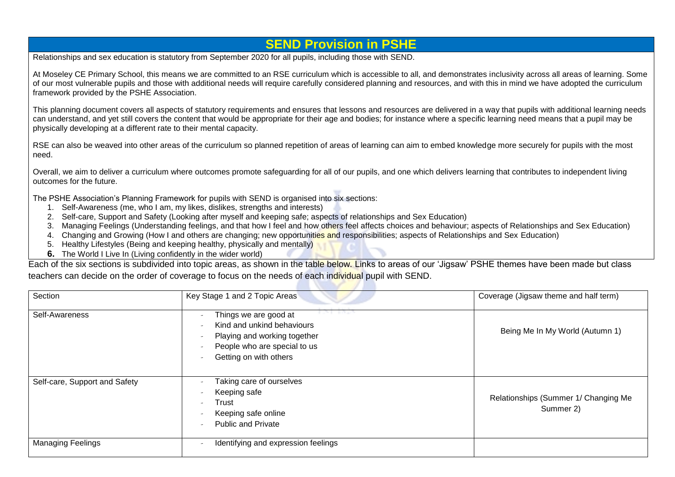# **SEND Provision in PSHE**

Relationships and sex education is statutory from September 2020 for all pupils, including those with SEND.

At Moseley CE Primary School, this means we are committed to an RSE curriculum which is accessible to all, and demonstrates inclusivity across all areas of learning. Some of our most vulnerable pupils and those with additional needs will require carefully considered planning and resources, and with this in mind we have adopted the curriculum framework provided by the PSHE Association.

This planning document covers all aspects of statutory requirements and ensures that lessons and resources are delivered in a way that pupils with additional learning needs can understand, and yet still covers the content that would be appropriate for their age and bodies; for instance where a specific learning need means that a pupil may be physically developing at a different rate to their mental capacity.

RSE can also be weaved into other areas of the curriculum so planned repetition of areas of learning can aim to embed knowledge more securely for pupils with the most need.

Overall, we aim to deliver a curriculum where outcomes promote safeguarding for all of our pupils, and one which delivers learning that contributes to independent living outcomes for the future.

The PSHE Association's Planning Framework for pupils with SEND is organised into six sections:

- 1. Self-Awareness (me, who I am, my likes, dislikes, strengths and interests)
- 2. Self-care, Support and Safety (Looking after myself and keeping safe; aspects of relationships and Sex Education)
- 3. Managing Feelings (Understanding feelings, and that how I feel and how others feel affects choices and behaviour; aspects of Relationships and Sex Education)
- 4. Changing and Growing (How I and others are changing; new opportunities and responsibilities; aspects of Relationships and Sex Education)
- 5. Healthy Lifestyles (Being and keeping healthy, physically and mentally)
- **6.** The World I Live In (Living confidently in the wider world)

Each of the six sections is subdivided into topic areas, as shown in the table below. Links to areas of our 'Jigsaw' PSHE themes have been made but class teachers can decide on the order of coverage to focus on the needs of each individual pupil with SEND.

| Section                       | Key Stage 1 and 2 Topic Areas                                                                                                                                             | Coverage (Jigsaw theme and half term)             |
|-------------------------------|---------------------------------------------------------------------------------------------------------------------------------------------------------------------------|---------------------------------------------------|
| Self-Awareness                | Things we are good at<br>Kind and unkind behaviours<br>$\overline{\phantom{a}}$<br>Playing and working together<br>People who are special to us<br>Getting on with others | Being Me In My World (Autumn 1)                   |
| Self-care, Support and Safety | Taking care of ourselves<br>Keeping safe<br>Trust<br>Keeping safe online<br><b>Public and Private</b>                                                                     | Relationships (Summer 1/ Changing Me<br>Summer 2) |
| <b>Managing Feelings</b>      | Identifying and expression feelings                                                                                                                                       |                                                   |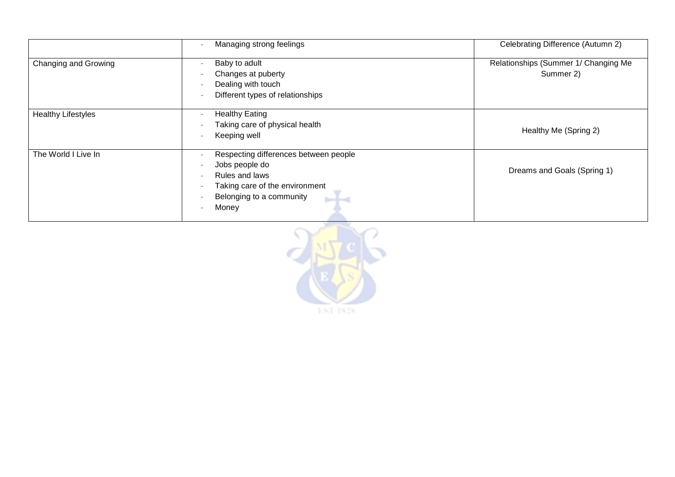|                           | Managing strong feelings                                                                                                                                          | Celebrating Difference (Autumn 2)                 |
|---------------------------|-------------------------------------------------------------------------------------------------------------------------------------------------------------------|---------------------------------------------------|
| Changing and Growing      | Baby to adult<br>Changes at puberty<br>Dealing with touch<br>Different types of relationships                                                                     | Relationships (Summer 1/ Changing Me<br>Summer 2) |
| <b>Healthy Lifestyles</b> | <b>Healthy Eating</b><br>Taking care of physical health<br>Keeping well                                                                                           | Healthy Me (Spring 2)                             |
| The World I Live In       | Respecting differences between people<br>Jobs people do<br>Rules and laws<br>Taking care of the environment<br>Belonging to a community<br><b>booked</b><br>Money | Dreams and Goals (Spring 1)                       |

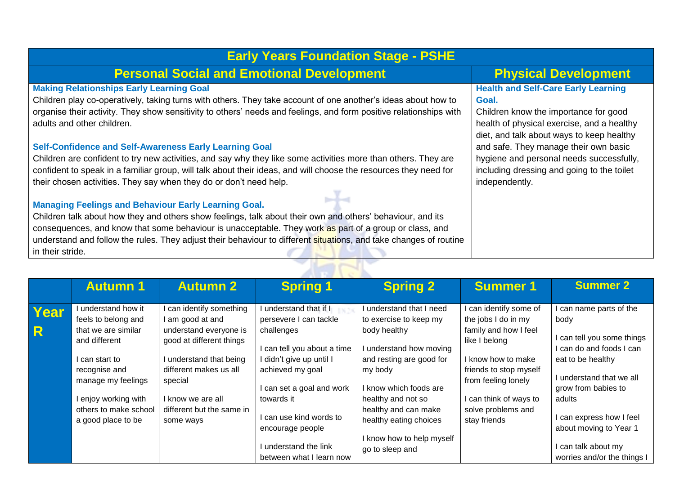| <b>Early Years Foundation Stage - PSHE</b>                                                                                                       |                                                                                                                                  |  |  |  |  |  |
|--------------------------------------------------------------------------------------------------------------------------------------------------|----------------------------------------------------------------------------------------------------------------------------------|--|--|--|--|--|
| <b>Personal Social and Emotional Development</b>                                                                                                 | <b>Physical Development</b>                                                                                                      |  |  |  |  |  |
| <b>Making Relationships Early Learning Goal</b>                                                                                                  | <b>Health and Self-Care Early Learning</b>                                                                                       |  |  |  |  |  |
| Children play co-operatively, taking turns with others. They take account of one another's ideas about how to                                    | Goal.                                                                                                                            |  |  |  |  |  |
| organise their activity. They show sensitivity to others' needs and feelings, and form positive relationships with<br>adults and other children. | Children know the importance for good<br>health of physical exercise, and a healthy<br>diet, and talk about ways to keep healthy |  |  |  |  |  |
| <b>Self-Confidence and Self-Awareness Early Learning Goal</b>                                                                                    | and safe. They manage their own basic                                                                                            |  |  |  |  |  |
| Children are confident to try new activities, and say why they like some activities more than others. They are                                   | hygiene and personal needs successfully,                                                                                         |  |  |  |  |  |
| confident to speak in a familiar group, will talk about their ideas, and will choose the resources they need for                                 | including dressing and going to the toilet                                                                                       |  |  |  |  |  |
| their chosen activities. They say when they do or don't need help.                                                                               | independently.                                                                                                                   |  |  |  |  |  |
| <b>Managing Feelings and Behaviour Early Learning Goal.</b>                                                                                      |                                                                                                                                  |  |  |  |  |  |
| Children talk about how they and others show feelings, talk about their own and others' behaviour, and its                                       |                                                                                                                                  |  |  |  |  |  |
| consequences, and know that some behaviour is unacceptable. They work as part of a group or class, and                                           |                                                                                                                                  |  |  |  |  |  |
| understand and follow the rules. They adjust their behaviour to different situations, and take changes of routine                                |                                                                                                                                  |  |  |  |  |  |
| in their stride.                                                                                                                                 |                                                                                                                                  |  |  |  |  |  |

|           | <b>Autumn 1</b>                                                                                                                                                                                                  | <b>Autumn 2</b>                                                                                                                                                                                                           | <b>Spring 1</b>                                                                                                                                                                                                                                                                    | <b>Spring 2</b>                                                                                                                                                                                                                                                                      | <b>Summer 1</b>                                                                                                                                                                                                              | <b>Summer 2</b>                                                                                                                                                                                                                                                                     |  |  |  |  |
|-----------|------------------------------------------------------------------------------------------------------------------------------------------------------------------------------------------------------------------|---------------------------------------------------------------------------------------------------------------------------------------------------------------------------------------------------------------------------|------------------------------------------------------------------------------------------------------------------------------------------------------------------------------------------------------------------------------------------------------------------------------------|--------------------------------------------------------------------------------------------------------------------------------------------------------------------------------------------------------------------------------------------------------------------------------------|------------------------------------------------------------------------------------------------------------------------------------------------------------------------------------------------------------------------------|-------------------------------------------------------------------------------------------------------------------------------------------------------------------------------------------------------------------------------------------------------------------------------------|--|--|--|--|
| Year<br>R | understand how it<br>feels to belong and<br>that we are similar<br>and different<br>l can start to<br>recognise and<br>manage my feelings<br>l enjoy working with<br>others to make school<br>a good place to be | can identify something<br>am good at and<br>understand everyone is<br>good at different things<br>understand that being<br>different makes us all<br>special<br>know we are all<br>different but the same in<br>some ways | understand that if I<br>persevere I can tackle<br>challenges<br>I can tell you about a time<br>didn't give up until I<br>achieved my goal<br>can set a goal and work<br>towards it<br>can use kind words to<br>encourage people<br>understand the link<br>between what I learn now | I understand that I need<br>to exercise to keep my<br>body healthy<br>understand how moving<br>and resting are good for<br>my body<br>I know which foods are<br>healthy and not so<br>healthy and can make<br>healthy eating choices<br>I know how to help myself<br>go to sleep and | I can identify some of<br>the jobs I do in my<br>family and how I feel<br>like I belong<br>I know how to make<br>friends to stop myself<br>from feeling lonely<br>can think of ways to<br>solve problems and<br>stay friends | I can name parts of the<br>body<br>I can tell you some things<br>I can do and foods I can<br>eat to be healthy<br>I understand that we all<br>grow from babies to<br>adults<br>can express how I feel<br>about moving to Year 1<br>can talk about my<br>worries and/or the things I |  |  |  |  |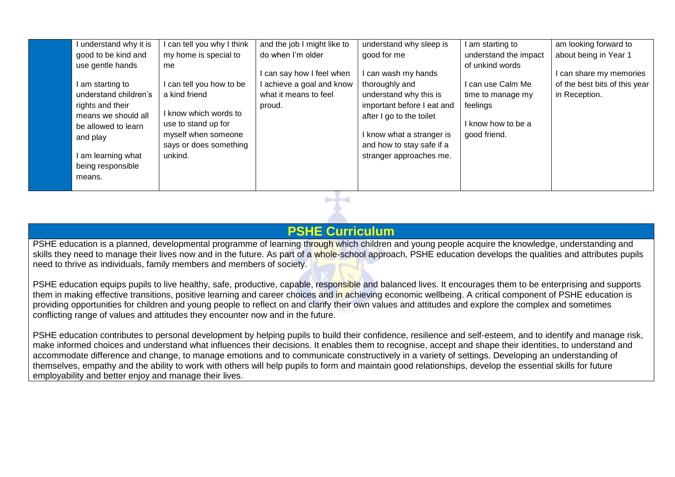| I understand why it is                                                                                                                                                                           | I can tell you why I think                                                                                                                                | and the job I might like to                                                               | understand why sleep is                                                                                                                                                                                        | I am starting to                                                                                            | am looking forward to                                                     |
|--------------------------------------------------------------------------------------------------------------------------------------------------------------------------------------------------|-----------------------------------------------------------------------------------------------------------------------------------------------------------|-------------------------------------------------------------------------------------------|----------------------------------------------------------------------------------------------------------------------------------------------------------------------------------------------------------------|-------------------------------------------------------------------------------------------------------------|---------------------------------------------------------------------------|
| good to be kind and                                                                                                                                                                              | my home is special to                                                                                                                                     | do when I'm older                                                                         | good for me                                                                                                                                                                                                    | understand the impact                                                                                       | about being in Year 1                                                     |
| use gentle hands<br>I am starting to<br>understand children's<br>rights and their<br>means we should all<br>be allowed to learn<br>and play<br>I am learning what<br>being responsible<br>means. | me<br>can tell you how to be<br>a kind friend<br>I know which words to<br>use to stand up for<br>myself when someone<br>says or does something<br>unkind. | I can say how I feel when<br>I achieve a goal and know<br>what it means to feel<br>proud. | I can wash my hands<br>thoroughly and<br>understand why this is<br>important before I eat and<br>after I go to the toilet<br>I know what a stranger is<br>and how to stay safe if a<br>stranger approaches me. | of unkind words<br>I can use Calm Me<br>time to manage my<br>feelings<br>I know how to be a<br>good friend. | I can share my memories<br>of the best bits of this year<br>in Reception. |
|                                                                                                                                                                                                  |                                                                                                                                                           |                                                                                           |                                                                                                                                                                                                                |                                                                                                             |                                                                           |

## **PSHE Curriculum**

PSHE education is a planned, developmental programme of learning through which children and young people acquire the knowledge, understanding and skills they need to manage their lives now and in the future. As part of a whole-school approach, PSHE education develops the qualities and attributes pupils need to thrive as individuals, family members and members of society.

PSHE education equips pupils to live healthy, safe, productive, capable, responsible and balanced lives. It encourages them to be enterprising and supports them in making effective transitions, positive learning and career choices and in achieving economic wellbeing. A critical component of PSHE education is providing opportunities for children and young people to reflect on and clarify their own values and attitudes and explore the complex and sometimes conflicting range of values and attitudes they encounter now and in the future.

PSHE education contributes to personal development by helping pupils to build their confidence, resilience and self-esteem, and to identify and manage risk, make informed choices and understand what influences their decisions. It enables them to recognise, accept and shape their identities, to understand and accommodate difference and change, to manage emotions and to communicate constructively in a variety of settings. Developing an understanding of themselves, empathy and the ability to work with others will help pupils to form and maintain good relationships, develop the essential skills for future employability and better enjoy and manage their lives.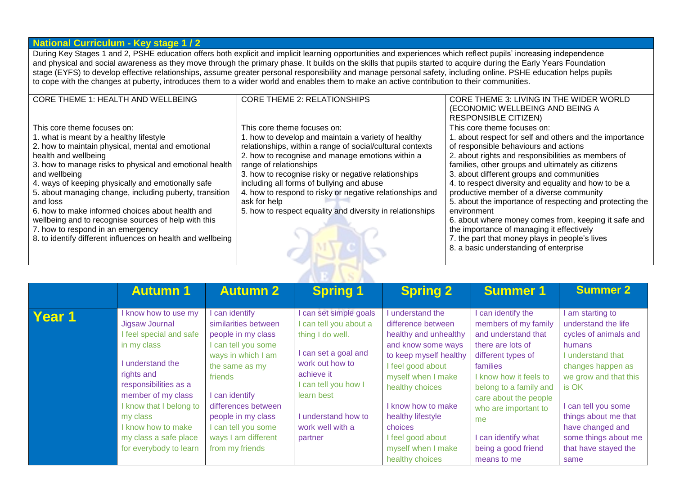#### **National Curriculum - Key stage 1 / 2**

During Key Stages 1 and 2, PSHE education offers both explicit and implicit learning opportunities and experiences which reflect pupils' increasing independence and physical and social awareness as they move through the primary phase. It builds on the skills that pupils started to acquire during the Early Years Foundation stage (EYFS) to develop effective relationships, assume greater personal responsibility and manage personal safety, including online. PSHE education helps pupils to cope with the changes at puberty, introduces them to a wider world and enables them to make an active contribution to their communities.

| <b>CORE THEME 1: HEALTH AND WELLBEING</b>                   | <b>CORE THEME 2: RELATIONSHIPS</b>                        | CORE THEME 3: LIVING IN THE WIDER WORLD                  |
|-------------------------------------------------------------|-----------------------------------------------------------|----------------------------------------------------------|
|                                                             |                                                           | (ECONOMIC WELLBEING AND BEING A                          |
|                                                             |                                                           | <b>RESPONSIBLE CITIZEN)</b>                              |
| This core theme focuses on:                                 | This core theme focuses on:                               | This core theme focuses on:                              |
| 1. what is meant by a healthy lifestyle                     | 1. how to develop and maintain a variety of healthy       | I. about respect for self and others and the importance  |
| 2. how to maintain physical, mental and emotional           | relationships, within a range of social/cultural contexts | of responsible behaviours and actions                    |
| health and wellbeing                                        | 2. how to recognise and manage emotions within a          | 2. about rights and responsibilities as members of       |
| 3. how to manage risks to physical and emotional health     | range of relationships                                    | families, other groups and ultimately as citizens        |
| and wellbeing                                               | 3. how to recognise risky or negative relationships       | 3. about different groups and communities                |
| 4. ways of keeping physically and emotionally safe          | including all forms of bullying and abuse                 | 4. to respect diversity and equality and how to be a     |
| 5. about managing change, including puberty, transition     | 4. how to respond to risky or negative relationships and  | productive member of a diverse community                 |
| and loss                                                    | ask for help                                              | 5. about the importance of respecting and protecting the |
| 6. how to make informed choices about health and            | 5. how to respect equality and diversity in relationships | environment                                              |
| wellbeing and to recognise sources of help with this        |                                                           | 6. about where money comes from, keeping it safe and     |
| 7. how to respond in an emergency                           |                                                           | the importance of managing it effectively                |
| 8. to identify different influences on health and wellbeing |                                                           | 7. the part that money plays in people's lives           |
|                                                             |                                                           | 8. a basic understanding of enterprise                   |
|                                                             |                                                           |                                                          |

Ac D

|        | <b>Autumn 1</b>                                                                                                                                                                                                                                                                 | <b>Autumn 2</b>                                                                                                                                                                                                                                                  | <b>Spring 1</b>                                                                                                                                                                                                       | <b>Spring 2</b>                                                                                                                                                                                                                                                                               | <b>Summer 1</b>                                                                                                                                                                                                                                                                                  | <b>Summer 2</b>                                                                                                                                                                                                                                                               |
|--------|---------------------------------------------------------------------------------------------------------------------------------------------------------------------------------------------------------------------------------------------------------------------------------|------------------------------------------------------------------------------------------------------------------------------------------------------------------------------------------------------------------------------------------------------------------|-----------------------------------------------------------------------------------------------------------------------------------------------------------------------------------------------------------------------|-----------------------------------------------------------------------------------------------------------------------------------------------------------------------------------------------------------------------------------------------------------------------------------------------|--------------------------------------------------------------------------------------------------------------------------------------------------------------------------------------------------------------------------------------------------------------------------------------------------|-------------------------------------------------------------------------------------------------------------------------------------------------------------------------------------------------------------------------------------------------------------------------------|
| Year 1 | I know how to use my<br>Jigsaw Journal<br>feel special and safe<br>in my class<br>I understand the<br>rights and<br>responsibilities as a<br>member of my class<br>I know that I belong to<br>my class<br>I know how to make<br>my class a safe place<br>for everybody to learn | can identify<br>similarities between<br>people in my class<br>can tell you some<br>ways in which I am<br>the same as my<br>friends<br>can identify<br>differences between<br>people in my class<br>I can tell you some<br>ways I am different<br>from my friends | I can set simple goals<br>can tell you about a<br>thing I do well.<br>I can set a goal and<br>work out how to<br>achieve it<br>can tell you how I<br>learn best<br>I understand how to<br>work well with a<br>partner | understand the<br>difference between<br>healthy and unhealthy<br>and know some ways<br>to keep myself healthy<br>I feel good about<br>myself when I make<br>healthy choices<br>know how to make<br>healthy lifestyle<br>choices<br>I feel good about<br>myself when I make<br>healthy choices | I can identify the<br>members of my family<br>and understand that<br>there are lots of<br>different types of<br>families<br>I know how it feels to<br>belong to a family and<br>care about the people<br>who are important to<br>me<br>I can identify what<br>being a good friend<br>means to me | am starting to<br>understand the life<br>cycles of animals and<br>humans<br>I understand that<br>changes happen as<br>we grow and that this<br>is OK<br>can tell you some<br>things about me that<br>have changed and<br>some things about me<br>that have stayed the<br>same |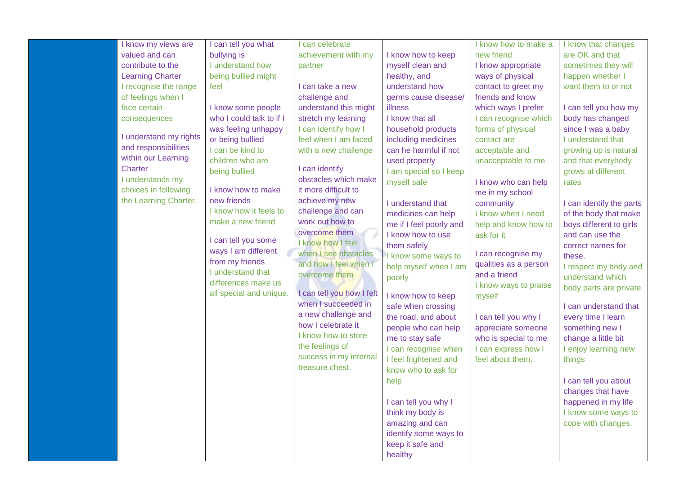|  | I know my views are     | I can tell you what                  | can celebrate                                    |                         | I know how to make a  | I know that changes      |
|--|-------------------------|--------------------------------------|--------------------------------------------------|-------------------------|-----------------------|--------------------------|
|  | valued and can          | bullying is                          | achievement with my                              | I know how to keep      | new friend            | are OK and that          |
|  | contribute to the       | I understand how                     | partner                                          | myself clean and        | I know appropriate    | sometimes they will      |
|  | <b>Learning Charter</b> | being bullied might                  |                                                  | healthy, and            | ways of physical      | happen whether I         |
|  | I recognise the range   | feel                                 | I can take a new                                 | understand how          | contact to greet my   | want them to or not      |
|  | of feelings when I      |                                      | challenge and                                    | germs cause disease/    | friends and know      |                          |
|  | face certain            | I know some people                   | understand this might                            | illness                 | which ways I prefer   | I can tell you how my    |
|  | consequences            | who I could talk to if I             | stretch my learning                              | I know that all         | I can recognise which | body has changed         |
|  |                         | was feeling unhappy                  | I can identify how I                             | household products      | forms of physical     | since I was a baby       |
|  | I understand my rights  | or being bullied                     | feel when I am faced                             | including medicines     | contact are           | I understand that        |
|  | and responsibilities    | I can be kind to                     | with a new challenge                             | can he harmful if not   | acceptable and        | growing up is natural    |
|  | within our Learning     | children who are                     |                                                  | used properly           | unacceptable to me    | and that everybody       |
|  | Charter                 | being bullied                        | I can identify                                   | I am special so I keep  |                       | grows at different       |
|  | I understands my        |                                      | obstacles which make                             | myself safe             | I know who can help   | rates                    |
|  | choices in following    | I know how to make                   | it more difficult to                             |                         | me in my school       |                          |
|  | the Learning Charter.   | new friends                          | achieve my new                                   | I understand that       | community             | I can identify the parts |
|  |                         | I know how it feels to               | challenge and can                                | medicines can help      | I know when I need    | of the body that make    |
|  |                         | make a new friend                    | work out how to                                  | me if I feel poorly and | help and know how to  | boys different to girls  |
|  |                         |                                      | overcome them                                    | I know how to use       | ask for it            | and can use the          |
|  |                         | I can tell you some                  | I know how I feel                                | them safely             |                       | correct names for        |
|  |                         | ways I am different                  | when I see obstacles                             | I know some ways to     | I can recognise my    | these.                   |
|  |                         | from my friends<br>I understand that | and how I feel when I                            | help myself when I am   | qualities as a person | I respect my body and    |
|  |                         | differences make us                  | overcome them                                    | poorly                  | and a friend          | understand which         |
|  |                         |                                      |                                                  |                         | I know ways to praise | body parts are private   |
|  |                         | all special and unique.              | I can tell you how I felt<br>when I succeeded in | I know how to keep      | myself                |                          |
|  |                         |                                      |                                                  | safe when crossing      |                       | I can understand that    |
|  |                         |                                      | a new challenge and<br>how I celebrate it        | the road, and about     | I can tell you why I  | every time I learn       |
|  |                         |                                      | I know how to store                              | people who can help     | appreciate someone    | something new I          |
|  |                         |                                      |                                                  | me to stay safe         | who is special to me  | change a little bit      |
|  |                         |                                      | the feelings of                                  | I can recognise when    | I can express how I   | I enjoy learning new     |
|  |                         |                                      | success in my internal                           | I feel frightened and   | feel about them.      | things                   |
|  |                         |                                      | treasure chest.                                  | know who to ask for     |                       |                          |
|  |                         |                                      |                                                  | help                    |                       | I can tell you about     |
|  |                         |                                      |                                                  |                         |                       | changes that have        |
|  |                         |                                      |                                                  | I can tell you why I    |                       | happened in my life      |
|  |                         |                                      |                                                  | think my body is        |                       | I know some ways to      |
|  |                         |                                      |                                                  | amazing and can         |                       | cope with changes.       |
|  |                         |                                      |                                                  | identify some ways to   |                       |                          |
|  |                         |                                      |                                                  | keep it safe and        |                       |                          |
|  |                         |                                      |                                                  | healthy                 |                       |                          |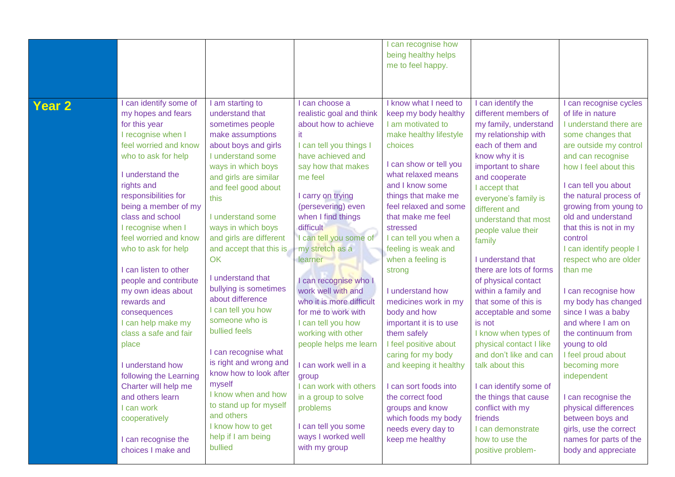|                   |                                                                                                                                                                                                                                                                                                                                                                                                                                                                                                                                                                                  |                                                                                                                                                                                                                                                                                                                                                                                                                                                                                                                                                                                 |                                                                                                                                                                                                                                                                                                                                                                                                                                                                                                                                                                       | can recognise how<br>being healthy helps<br>me to feel happy.                                                                                                                                                                                                                                                                                                                                                                                                                                                                                                                            |                                                                                                                                                                                                                                                                                                                                                                                                                                                                                                                                                                                                                          |                                                                                                                                                                                                                                                                                                                                                                                                                                                                                                                                                                                                             |
|-------------------|----------------------------------------------------------------------------------------------------------------------------------------------------------------------------------------------------------------------------------------------------------------------------------------------------------------------------------------------------------------------------------------------------------------------------------------------------------------------------------------------------------------------------------------------------------------------------------|---------------------------------------------------------------------------------------------------------------------------------------------------------------------------------------------------------------------------------------------------------------------------------------------------------------------------------------------------------------------------------------------------------------------------------------------------------------------------------------------------------------------------------------------------------------------------------|-----------------------------------------------------------------------------------------------------------------------------------------------------------------------------------------------------------------------------------------------------------------------------------------------------------------------------------------------------------------------------------------------------------------------------------------------------------------------------------------------------------------------------------------------------------------------|------------------------------------------------------------------------------------------------------------------------------------------------------------------------------------------------------------------------------------------------------------------------------------------------------------------------------------------------------------------------------------------------------------------------------------------------------------------------------------------------------------------------------------------------------------------------------------------|--------------------------------------------------------------------------------------------------------------------------------------------------------------------------------------------------------------------------------------------------------------------------------------------------------------------------------------------------------------------------------------------------------------------------------------------------------------------------------------------------------------------------------------------------------------------------------------------------------------------------|-------------------------------------------------------------------------------------------------------------------------------------------------------------------------------------------------------------------------------------------------------------------------------------------------------------------------------------------------------------------------------------------------------------------------------------------------------------------------------------------------------------------------------------------------------------------------------------------------------------|
| Year <sub>2</sub> | can identify some of<br>my hopes and fears<br>for this year<br>I recognise when I<br>feel worried and know<br>who to ask for help<br>I understand the<br>rights and<br>responsibilities for<br>being a member of my<br>class and school<br>I recognise when I<br>feel worried and know<br>who to ask for help<br>can listen to other<br>people and contribute<br>my own ideas about<br>rewards and<br>consequences<br>can help make my<br>class a safe and fair<br>place<br>I understand how<br>following the Learning<br>Charter will help me<br>and others learn<br>I can work | I am starting to<br>understand that<br>sometimes people<br>make assumptions<br>about boys and girls<br>I understand some<br>ways in which boys<br>and girls are similar<br>and feel good about<br>this<br>I understand some<br>ways in which boys<br>and girls are different<br>and accept that this is<br>OK<br>I understand that<br>bullying is sometimes<br>about difference<br>I can tell you how<br>someone who is<br>bullied feels<br>I can recognise what<br>is right and wrong and<br>know how to look after<br>myself<br>I know when and how<br>to stand up for myself | I can choose a<br>realistic goal and think<br>about how to achieve<br>it.<br>I can tell you things I<br>have achieved and<br>say how that makes<br>me feel<br>I carry on trying<br>(persevering) even<br>when I find things<br>difficult<br>I can tell you some of<br>my stretch as a<br>learner<br>I can recognise who I<br>work well with and<br>who it is more difficult<br>for me to work with<br>I can tell you how<br>working with other<br>people helps me learn<br>I can work well in a<br>group<br>I can work with others<br>in a group to solve<br>problems | I know what I need to<br>keep my body healthy<br>I am motivated to<br>make healthy lifestyle<br>choices<br>I can show or tell you<br>what relaxed means<br>and I know some<br>things that make me<br>feel relaxed and some<br>that make me feel<br>stressed<br>I can tell you when a<br>feeling is weak and<br>when a feeling is<br>strong<br>I understand how<br>medicines work in my<br>body and how<br>important it is to use<br>them safely<br>I feel positive about<br>caring for my body<br>and keeping it healthy<br>I can sort foods into<br>the correct food<br>groups and know | I can identify the<br>different members of<br>my family, understand<br>my relationship with<br>each of them and<br>know why it is<br>important to share<br>and cooperate<br>I accept that<br>everyone's family is<br>different and<br>understand that most<br>people value their<br>family<br>I understand that<br>there are lots of forms<br>of physical contact<br>within a family and<br>that some of this is<br>acceptable and some<br>is not<br>I know when types of<br>physical contact I like<br>and don't like and can<br>talk about this<br>I can identify some of<br>the things that cause<br>conflict with my | I can recognise cycles<br>of life in nature<br>I understand there are<br>some changes that<br>are outside my control<br>and can recognise<br>how I feel about this<br>I can tell you about<br>the natural process of<br>growing from young to<br>old and understand<br>that this is not in my<br>control<br>I can identify people I<br>respect who are older<br>than me<br>I can recognise how<br>my body has changed<br>since I was a baby<br>and where I am on<br>the continuum from<br>young to old<br>I feel proud about<br>becoming more<br>independent<br>I can recognise the<br>physical differences |
|                   | cooperatively<br>I can recognise the<br>choices I make and                                                                                                                                                                                                                                                                                                                                                                                                                                                                                                                       | and others<br>I know how to get<br>help if I am being<br>bullied                                                                                                                                                                                                                                                                                                                                                                                                                                                                                                                | I can tell you some<br>ways I worked well<br>with my group                                                                                                                                                                                                                                                                                                                                                                                                                                                                                                            | which foods my body<br>needs every day to<br>keep me healthy                                                                                                                                                                                                                                                                                                                                                                                                                                                                                                                             | friends<br>I can demonstrate<br>how to use the<br>positive problem-                                                                                                                                                                                                                                                                                                                                                                                                                                                                                                                                                      | between boys and<br>girls, use the correct<br>names for parts of the<br>body and appreciate                                                                                                                                                                                                                                                                                                                                                                                                                                                                                                                 |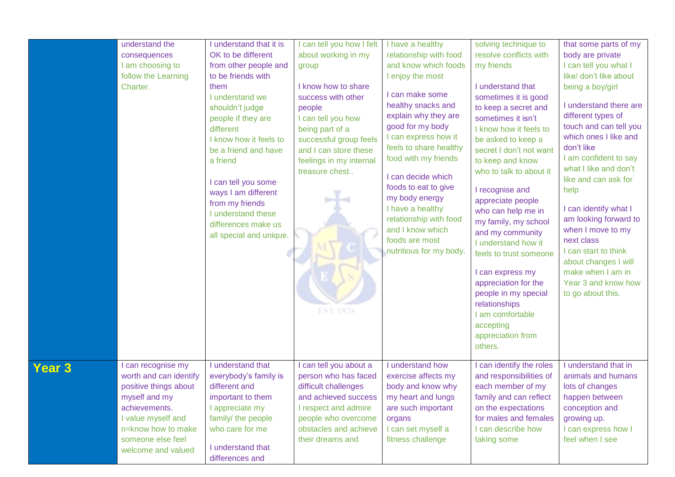|               | understand the<br>consequences<br>I am choosing to<br>follow the Learning<br>Charter.                                                                                                          | I understand that it is<br>OK to be different<br>from other people and<br>to be friends with<br>them<br>I understand we<br>shouldn't judge<br>people if they are<br>different<br>I know how it feels to<br>be a friend and have<br>a friend<br>I can tell you some<br>ways I am different<br>from my friends<br>I understand these<br>differences make us<br>all special and unique. | I can tell you how I felt<br>about working in my<br>group<br>I know how to share<br>success with other<br>people<br>I can tell you how<br>being part of a<br>successful group feels<br>and I can store these<br>feelings in my internal<br>treasure chest<br>FNT 1828 | I have a healthy<br>relationship with food<br>and know which foods<br>I enjoy the most<br>I can make some<br>healthy snacks and<br>explain why they are<br>good for my body<br>I can express how it<br>feels to share healthy<br>food with my friends<br>I can decide which<br>foods to eat to give<br>my body energy<br>I have a healthy<br>relationship with food<br>and I know which<br>foods are most<br>nutritious for my body. | solving technique to<br>resolve conflicts with<br>my friends<br>I understand that<br>sometimes it is good<br>to keep a secret and<br>sometimes it isn't<br>I know how it feels to<br>be asked to keep a<br>secret I don't not want<br>to keep and know<br>who to talk to about it<br>I recognise and<br>appreciate people<br>who can help me in<br>my family, my school<br>and my community<br>I understand how it<br>feels to trust someone<br>I can express my<br>appreciation for the<br>people in my special<br>relationships<br>I am comfortable<br>accepting<br>appreciation from<br>others. | that some parts of my<br>body are private<br>I can tell you what I<br>like/ don't like about<br>being a boy/girl<br>I understand there are<br>different types of<br>touch and can tell you<br>which ones I like and<br>don't like<br>I am confident to say<br>what I like and don't<br>like and can ask for<br>help<br>I can identify what I<br>am looking forward to<br>when I move to my<br>next class<br>I can start to think<br>about changes I will<br>make when I am in<br>Year 3 and know how<br>to go about this. |
|---------------|------------------------------------------------------------------------------------------------------------------------------------------------------------------------------------------------|--------------------------------------------------------------------------------------------------------------------------------------------------------------------------------------------------------------------------------------------------------------------------------------------------------------------------------------------------------------------------------------|-----------------------------------------------------------------------------------------------------------------------------------------------------------------------------------------------------------------------------------------------------------------------|--------------------------------------------------------------------------------------------------------------------------------------------------------------------------------------------------------------------------------------------------------------------------------------------------------------------------------------------------------------------------------------------------------------------------------------|----------------------------------------------------------------------------------------------------------------------------------------------------------------------------------------------------------------------------------------------------------------------------------------------------------------------------------------------------------------------------------------------------------------------------------------------------------------------------------------------------------------------------------------------------------------------------------------------------|---------------------------------------------------------------------------------------------------------------------------------------------------------------------------------------------------------------------------------------------------------------------------------------------------------------------------------------------------------------------------------------------------------------------------------------------------------------------------------------------------------------------------|
| <b>Year 3</b> | I can recognise my<br>worth and can identify<br>positive things about<br>myself and my<br>achievements.<br>I value myself and<br>n=know how to make<br>someone else feel<br>welcome and valued | I understand that<br>everybody's family is<br>different and<br>important to them<br>I appreciate my<br>family/ the people<br>who care for me<br>I understand that<br>differences and                                                                                                                                                                                                 | I can tell you about a<br>person who has faced<br>difficult challenges<br>and achieved success<br>I respect and admire<br>people who overcome<br>obstacles and achieve<br>their dreams and                                                                            | I understand how<br>exercise affects my<br>body and know why<br>my heart and lungs<br>are such important<br>organs<br>I can set myself a<br>fitness challenge                                                                                                                                                                                                                                                                        | I can identify the roles<br>and responsibilities of<br>each member of my<br>family and can reflect<br>on the expectations<br>for males and females<br>I can describe how<br>taking some                                                                                                                                                                                                                                                                                                                                                                                                            | I understand that in<br>animals and humans<br>lots of changes<br>happen between<br>conception and<br>growing up.<br>I can express how I<br>feel when I see                                                                                                                                                                                                                                                                                                                                                                |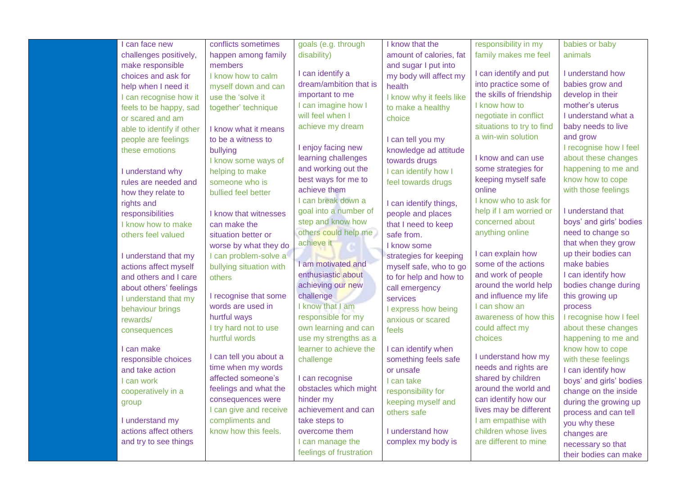| can face new              | conflicts sometimes     | goals (e.g. through     | I know that the          | responsibility in my      | babies or baby          |
|---------------------------|-------------------------|-------------------------|--------------------------|---------------------------|-------------------------|
| challenges positively,    | happen among family     | disability)             | amount of calories, fat  | family makes me feel      | animals                 |
| make responsible          | members                 |                         | and sugar I put into     |                           |                         |
| choices and ask for       | I know how to calm      | I can identify a        | my body will affect my   | I can identify and put    | I understand how        |
| help when I need it       | myself down and can     | dream/ambition that is  | health                   | into practice some of     | babies grow and         |
| I can recognise how it    | use the 'solve it       | important to me         | I know why it feels like | the skills of friendship  | develop in their        |
| feels to be happy, sad    | together' technique     | I can imagine how I     | to make a healthy        | I know how to             | mother's uterus         |
| or scared and am          |                         | will feel when I        | choice                   | negotiate in conflict     | I understand what a     |
| able to identify if other | I know what it means    | achieve my dream        |                          | situations to try to find | baby needs to live      |
| people are feelings       | to be a witness to      |                         | I can tell you my        | a win-win solution        | and grow                |
| these emotions            | bullying                | I enjoy facing new      | knowledge ad attitude    |                           | I recognise how I feel  |
|                           | I know some ways of     | learning challenges     | towards drugs            | I know and can use        | about these changes     |
| I understand why          | helping to make         | and working out the     | can identify how I       | some strategies for       | happening to me and     |
| rules are needed and      | someone who is          | best ways for me to     | feel towards drugs       | keeping myself safe       | know how to cope        |
| how they relate to        | bullied feel better     | achieve them            |                          | online                    | with those feelings     |
| rights and                |                         | I can break down a      | I can identify things,   | I know who to ask for     |                         |
| responsibilities          | I know that witnesses   | goal into a number of   | people and places        | help if I am worried or   | I understand that       |
| I know how to make        | can make the            | step and know how       | that I need to keep      | concerned about           | boys' and girls' bodies |
| others feel valued        | situation better or     | others could help me    | safe from.               | anything online           | need to change so       |
|                           | worse by what they do   | achieve it              | I know some              |                           | that when they grow     |
| I understand that my      | I can problem-solve a   |                         | strategies for keeping   | I can explain how         | up their bodies can     |
| actions affect myself     | bullying situation with | I am motivated and      | myself safe, who to go   | some of the actions       | make babies             |
| and others and I care     | others                  | enthusiastic about      | to for help and how to   | and work of people        | I can identify how      |
| about others' feelings    |                         | achieving our new       | call emergency           | around the world help     | bodies change during    |
| I understand that my      | I recognise that some   | challenge               | services                 | and influence my life     | this growing up         |
| behaviour brings          | words are used in       | I know that I am        | I express how being      | I can show an             | process                 |
| rewards/                  | hurtful ways            | responsible for my      | anxious or scared        | awareness of how this     | I recognise how I feel  |
| consequences              | I try hard not to use   | own learning and can    | feels                    | could affect my           | about these changes     |
|                           | hurtful words           | use my strengths as a   |                          | choices                   | happening to me and     |
| I can make                |                         | learner to achieve the  | I can identify when      |                           | know how to cope        |
| responsible choices       | I can tell you about a  | challenge               | something feels safe     | I understand how my       | with these feelings     |
| and take action           | time when my words      |                         | or unsafe                | needs and rights are      | I can identify how      |
| I can work                | affected someone's      | I can recognise         | I can take               | shared by children        | boys' and girls' bodies |
| cooperatively in a        | feelings and what the   | obstacles which might   | responsibility for       | around the world and      | change on the inside    |
| group                     | consequences were       | hinder my               | keeping myself and       | can identify how our      | during the growing up   |
|                           | I can give and receive  | achievement and can     | others safe              | lives may be different    | process and can tell    |
| I understand my           | compliments and         | take steps to           |                          | I am empathise with       | you why these           |
| actions affect others     | know how this feels.    | overcome them           | I understand how         | children whose lives      | changes are             |
| and try to see things     |                         | I can manage the        | complex my body is       | are different to mine     | necessary so that       |
|                           |                         | feelings of frustration |                          |                           | their bodies can make   |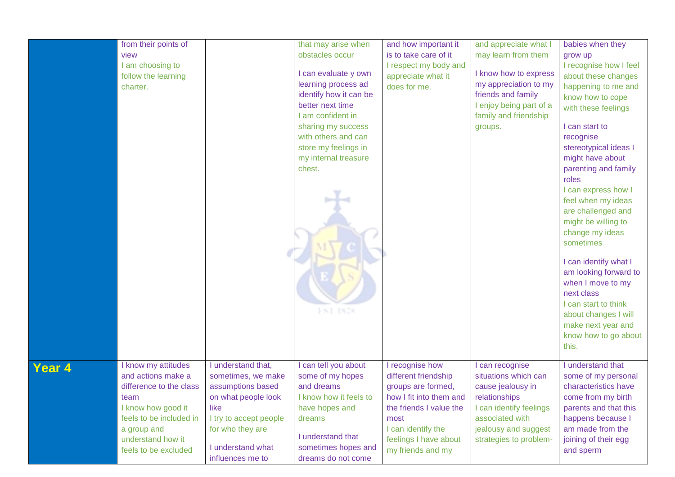|        | from their points of<br>view<br>I am choosing to<br>follow the learning<br>charter.                                                                                                       |                                                                                                                                                                                     | that may arise when<br>obstacles occur<br>I can evaluate y own<br>learning process ad<br>identify how it can be<br>better next time<br>I am confident in<br>sharing my success<br>with others and can<br>store my feelings in<br>my internal treasure<br>chest.<br>FNT 1826 | and how important it<br>is to take care of it<br>I respect my body and<br>appreciate what it<br>does for me.                                                                                    | and appreciate what I<br>may learn from them<br>I know how to express<br>my appreciation to my<br>friends and family<br>I enjoy being part of a<br>family and friendship<br>groups. | babies when they<br>grow up<br>I recognise how I feel<br>about these changes<br>happening to me and<br>know how to cope<br>with these feelings<br>I can start to<br>recognise<br>stereotypical ideas I<br>might have about<br>parenting and family<br>roles<br>I can express how I<br>feel when my ideas<br>are challenged and<br>might be willing to<br>change my ideas<br>sometimes<br>I can identify what I<br>am looking forward to<br>when I move to my<br>next class<br>I can start to think<br>about changes I will<br>make next year and<br>know how to go about<br>this. |
|--------|-------------------------------------------------------------------------------------------------------------------------------------------------------------------------------------------|-------------------------------------------------------------------------------------------------------------------------------------------------------------------------------------|-----------------------------------------------------------------------------------------------------------------------------------------------------------------------------------------------------------------------------------------------------------------------------|-------------------------------------------------------------------------------------------------------------------------------------------------------------------------------------------------|-------------------------------------------------------------------------------------------------------------------------------------------------------------------------------------|-----------------------------------------------------------------------------------------------------------------------------------------------------------------------------------------------------------------------------------------------------------------------------------------------------------------------------------------------------------------------------------------------------------------------------------------------------------------------------------------------------------------------------------------------------------------------------------|
| Year 4 | I know my attitudes<br>and actions make a<br>difference to the class<br>team<br>I know how good it<br>feels to be included in<br>a group and<br>understand how it<br>feels to be excluded | I understand that,<br>sometimes, we make<br>assumptions based<br>on what people look<br>like<br>I try to accept people<br>for who they are<br>I understand what<br>influences me to | I can tell you about<br>some of my hopes<br>and dreams<br>I know how it feels to<br>have hopes and<br>dreams<br>I understand that<br>sometimes hopes and<br>dreams do not come                                                                                              | I recognise how<br>different friendship<br>groups are formed,<br>how I fit into them and<br>the friends I value the<br>most<br>I can identify the<br>feelings I have about<br>my friends and my | can recognise<br>situations which can<br>cause jealousy in<br>relationships<br>I can identify feelings<br>associated with<br>jealousy and suggest<br>strategies to problem-         | I understand that<br>some of my personal<br>characteristics have<br>come from my birth<br>parents and that this<br>happens because I<br>am made from the<br>joining of their egg<br>and sperm                                                                                                                                                                                                                                                                                                                                                                                     |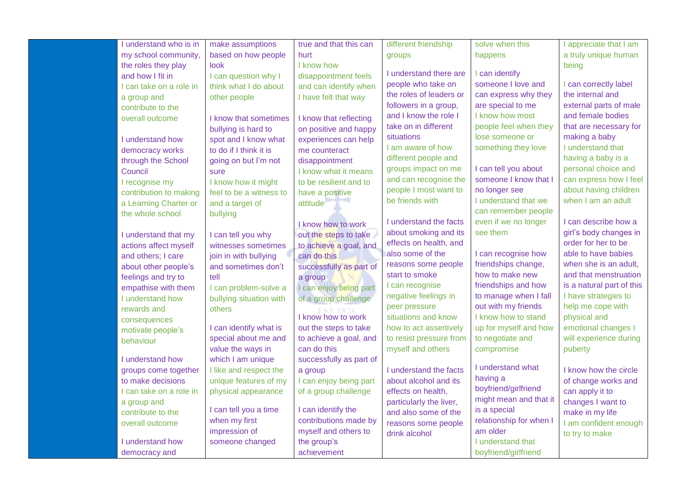| I understand who is in            | make assumptions        | true and that this can  | different friendship    | solve when this         | I appreciate that I am    |
|-----------------------------------|-------------------------|-------------------------|-------------------------|-------------------------|---------------------------|
| my school community,              | based on how people     | hurt                    | groups                  | happens                 | a truly unique human      |
| the roles they play               | look                    | I know how              |                         |                         | being                     |
| and how I fit in                  | I can question why I    | disappointment feels    | I understand there are  | can identify            |                           |
| I can take on a role in           | think what I do about   | and can identify when   | people who take on      | someone I love and      | I can correctly label     |
| a group and                       | other people            | I have felt that way    | the roles of leaders or | can express why they    | the internal and          |
| contribute to the                 |                         |                         | followers in a group,   | are special to me       | external parts of male    |
| overall outcome                   | I know that sometimes   | I know that reflecting  | and I know the role I   | I know how most         | and female bodies         |
|                                   | bullying is hard to     | on positive and happy   | take on in different    | people feel when they   | that are necessary for    |
| I understand how                  | spot and I know what    | experiences can help    | situations              | lose someone or         | making a baby             |
| democracy works                   | to do if I think it is  | me counteract           | I am aware of how       | something they love     | I understand that         |
| through the School                | going on but I'm not    | disappointment          | different people and    |                         | having a baby is a        |
| Council                           | sure                    | I know what it means    | groups impact on me     | I can tell you about    | personal choice and       |
| I recognise my                    | I know how it might     | to be resilient and to  | and can recognise the   | someone I know that I   | can express how I feel    |
| contribution to making            | feel to be a witness to | have a positive         | people I most want to   | no longer see           | about having children     |
| a Learning Charter or             | and a target of         | attitude                | be friends with         | I understand that we    | when I am an adult        |
| the whole school                  | bullying                |                         |                         | can remember people     |                           |
|                                   |                         | I know how to work      | I understand the facts  | even if we no longer    | I can describe how a      |
| I understand that my              | I can tell you why      | out the steps to take   | about smoking and its   | see them                | girl's body changes in    |
| actions affect myself             | witnesses sometimes     | to achieve a goal, and  | effects on health, and  |                         | order for her to be       |
| and others; I care                | join in with bullying   | can do this             | also some of the        | I can recognise how     | able to have babies       |
| about other people's              | and sometimes don't     | successfully as part of | reasons some people     | friendships change,     | when she is an adult,     |
| feelings and try to               | tell                    | a group                 | start to smoke          | how to make new         | and that menstruation     |
| empathise with them               | I can problem-solve a   | I can enjoy being part  | I can recognise         | friendships and how     | is a natural part of this |
| I understand how                  | bullying situation with | of a group challenge    | negative feelings in    | to manage when I fall   | I have strategies to      |
| rewards and                       | others                  |                         | peer pressure           | out with my friends     | help me cope with         |
|                                   |                         | I know how to work      | situations and know     | I know how to stand     | physical and              |
| consequences<br>motivate people's | I can identify what is  | out the steps to take   | how to act assertively  | up for myself and how   | emotional changes I       |
| behaviour                         | special about me and    | to achieve a goal, and  | to resist pressure from | to negotiate and        | will experience during    |
|                                   | value the ways in       | can do this             | myself and others       | compromise              | puberty                   |
| I understand how                  | which I am unique       | successfully as part of |                         |                         |                           |
| groups come together              | I like and respect the  | a group                 | I understand the facts  | I understand what       | I know how the circle     |
| to make decisions                 | unique features of my   | I can enjoy being part  | about alcohol and its   | having a                | of change works and       |
| I can take on a role in           | physical appearance     | of a group challenge    | effects on health,      | boyfriend/girlfriend    | can apply it to           |
| a group and                       |                         |                         | particularly the liver, | might mean and that it  | changes I want to         |
| contribute to the                 | I can tell you a time   | I can identify the      | and also some of the    | is a special            | make in my life           |
| overall outcome                   | when my first           | contributions made by   | reasons some people     | relationship for when I | I am confident enough     |
|                                   | impression of           | myself and others to    | drink alcohol           | am older                |                           |
| I understand how                  | someone changed         | the group's             |                         | I understand that       | to try to make            |
| democracy and                     |                         | achievement             |                         | boyfriend/girlfriend    |                           |
|                                   |                         |                         |                         |                         |                           |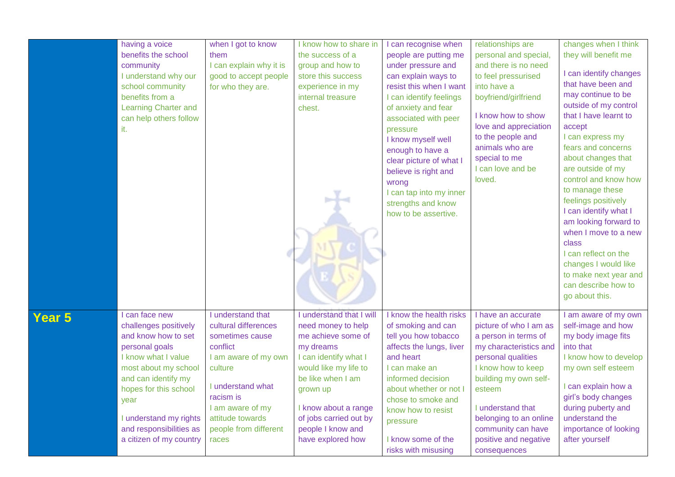|        | having a voice<br>benefits the school<br>community<br>I understand why our<br>school community<br>benefits from a<br>Learning Charter and<br>can help others follow<br>it.                                                                                              | when I got to know<br>them<br>I can explain why it is<br>good to accept people<br>for who they are.                                                                                                                     | I know how to share in<br>the success of a<br>group and how to<br>store this success<br>experience in my<br>internal treasure<br>chest.                                                                                                                          | I can recognise when<br>people are putting me<br>under pressure and<br>can explain ways to<br>resist this when I want<br>I can identify feelings<br>of anxiety and fear<br>associated with peer<br>pressure<br>I know myself well<br>enough to have a<br>clear picture of what I<br>believe is right and<br>wrong<br>I can tap into my inner<br>strengths and know<br>how to be assertive. | relationships are<br>personal and special,<br>and there is no need<br>to feel pressurised<br>into have a<br>boyfriend/girlfriend<br>I know how to show<br>love and appreciation<br>to the people and<br>animals who are<br>special to me<br>I can love and be<br>loved.                     | changes when I think<br>they will benefit me<br>I can identify changes<br>that have been and<br>may continue to be<br>outside of my control<br>that I have learnt to<br>accept<br>I can express my<br>fears and concerns<br>about changes that<br>are outside of my<br>control and know how<br>to manage these<br>feelings positively<br>I can identify what I<br>am looking forward to<br>when I move to a new<br>class<br>I can reflect on the<br>changes I would like<br>to make next year and<br>can describe how to<br>go about this. |
|--------|-------------------------------------------------------------------------------------------------------------------------------------------------------------------------------------------------------------------------------------------------------------------------|-------------------------------------------------------------------------------------------------------------------------------------------------------------------------------------------------------------------------|------------------------------------------------------------------------------------------------------------------------------------------------------------------------------------------------------------------------------------------------------------------|--------------------------------------------------------------------------------------------------------------------------------------------------------------------------------------------------------------------------------------------------------------------------------------------------------------------------------------------------------------------------------------------|---------------------------------------------------------------------------------------------------------------------------------------------------------------------------------------------------------------------------------------------------------------------------------------------|--------------------------------------------------------------------------------------------------------------------------------------------------------------------------------------------------------------------------------------------------------------------------------------------------------------------------------------------------------------------------------------------------------------------------------------------------------------------------------------------------------------------------------------------|
| Year 5 | I can face new<br>challenges positively<br>and know how to set<br>personal goals<br>I know what I value<br>most about my school<br>and can identify my<br>hopes for this school<br>year<br>I understand my rights<br>and responsibilities as<br>a citizen of my country | I understand that<br>cultural differences<br>sometimes cause<br>conflict<br>I am aware of my own<br>culture<br>I understand what<br>racism is<br>I am aware of my<br>attitude towards<br>people from different<br>races | I understand that I will<br>need money to help<br>me achieve some of<br>my dreams<br>I can identify what I<br>would like my life to<br>be like when I am<br>grown up<br>I know about a range<br>of jobs carried out by<br>people I know and<br>have explored how | I know the health risks<br>of smoking and can<br>tell you how tobacco<br>affects the lungs, liver<br>and heart<br>I can make an<br>informed decision<br>about whether or not I<br>chose to smoke and<br>know how to resist<br>pressure<br>I know some of the<br>risks with misusing                                                                                                        | I have an accurate<br>picture of who I am as<br>a person in terms of<br>my characteristics and<br>personal qualities<br>I know how to keep<br>building my own self-<br>esteem<br>I understand that<br>belonging to an online<br>community can have<br>positive and negative<br>consequences | I am aware of my own<br>self-image and how<br>my body image fits<br>into that<br>I know how to develop<br>my own self esteem<br>I can explain how a<br>girl's body changes<br>during puberty and<br>understand the<br>importance of looking<br>after yourself                                                                                                                                                                                                                                                                              |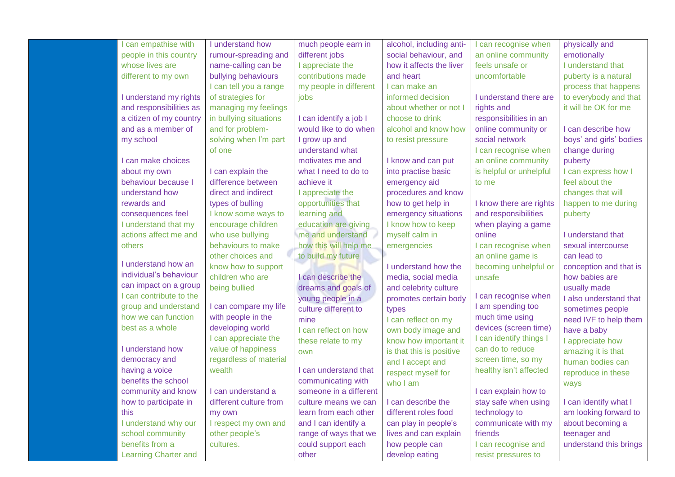| can empathise with          | I understand how       | much people earn in    | alcohol, including anti- | can recognise when      | physically and          |
|-----------------------------|------------------------|------------------------|--------------------------|-------------------------|-------------------------|
| people in this country      | rumour-spreading and   | different jobs         | social behaviour, and    | an online community     | emotionally             |
| whose lives are             | name-calling can be    | I appreciate the       | how it affects the liver | feels unsafe or         | I understand that       |
| different to my own         | bullying behaviours    | contributions made     | and heart                | uncomfortable           | puberty is a natural    |
|                             | I can tell you a range | my people in different | I can make an            |                         | process that happens    |
| I understand my rights      | of strategies for      | jobs                   | informed decision        | I understand there are  | to everybody and that   |
| and responsibilities as     | managing my feelings   |                        | about whether or not I   | rights and              | it will be OK for me    |
| a citizen of my country     | in bullying situations | I can identify a job I | choose to drink          | responsibilities in an  |                         |
| and as a member of          | and for problem-       | would like to do when  | alcohol and know how     | online community or     | I can describe how      |
| my school                   | solving when I'm part  | I grow up and          | to resist pressure       | social network          | boys' and girls' bodies |
|                             | of one                 | understand what        |                          | I can recognise when    | change during           |
| I can make choices          |                        | motivates me and       | I know and can put       | an online community     | puberty                 |
| about my own                | I can explain the      | what I need to do to   | into practise basic      | is helpful or unhelpful | I can express how I     |
| behaviour because I         | difference between     | achieve it             | emergency aid            | to me                   | feel about the          |
| understand how              | direct and indirect    | I appreciate the       | procedures and know      |                         | changes that will       |
| rewards and                 | types of bulling       | opportunities that     | how to get help in       | I know there are rights | happen to me during     |
| consequences feel           | I know some ways to    | learning and           | emergency situations     | and responsibilities    | puberty                 |
| I understand that my        | encourage children     | education are giving   | I know how to keep       | when playing a game     |                         |
| actions affect me and       | who use bullying       | me and understand      | myself calm in           | online                  | I understand that       |
| others                      | behaviours to make     | how this will help me  | emergencies              | I can recognise when    | sexual intercourse      |
|                             | other choices and      | to build my future     |                          | an online game is       | can lead to             |
| I understand how an         | know how to support    |                        | I understand how the     | becoming unhelpful or   | conception and that is  |
| individual's behaviour      | children who are       | I can describe the     | media, social media      | unsafe                  | how babies are          |
| can impact on a group       | being bullied          | dreams and goals of    | and celebrity culture    |                         | usually made            |
| I can contribute to the     |                        | young people in a      | promotes certain body    | I can recognise when    | I also understand that  |
| group and understand        | I can compare my life  | culture different to   | types                    | I am spending too       | sometimes people        |
| how we can function         | with people in the     | mine                   | I can reflect on my      | much time using         | need IVF to help them   |
| best as a whole             | developing world       | I can reflect on how   | own body image and       | devices (screen time)   | have a baby             |
|                             | I can appreciate the   | these relate to my     | know how important it    | I can identify things I | I appreciate how        |
| I understand how            | value of happiness     | own                    | is that this is positive | can do to reduce        | amazing it is that      |
| democracy and               | regardless of material |                        | and I accept and         | screen time, so my      | human bodies can        |
| having a voice              | wealth                 | I can understand that  | respect myself for       | healthy isn't affected  | reproduce in these      |
| benefits the school         |                        | communicating with     | who I am                 |                         | ways                    |
| community and know          | can understand a       | someone in a different |                          | I can explain how to    |                         |
| how to participate in       | different culture from | culture means we can   | I can describe the       | stay safe when using    | I can identify what I   |
| this                        | my own                 | learn from each other  | different roles food     | technology to           | am looking forward to   |
| I understand why our        | I respect my own and   | and I can identify a   | can play in people's     | communicate with my     | about becoming a        |
| school community            | other people's         | range of ways that we  | lives and can explain    | friends                 | teenager and            |
| benefits from a             | cultures.              | could support each     | how people can           | I can recognise and     | understand this brings  |
| <b>Learning Charter and</b> |                        | other                  | develop eating           | resist pressures to     |                         |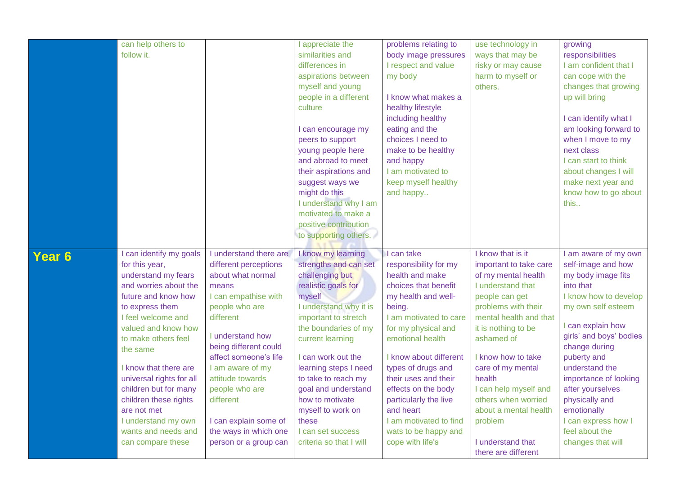|                   | can help others to       |                        | appreciate the          | problems relating to   | use technology in                        | growing                 |
|-------------------|--------------------------|------------------------|-------------------------|------------------------|------------------------------------------|-------------------------|
|                   | follow it.               |                        | similarities and        | body image pressures   | ways that may be                         | responsibilities        |
|                   |                          |                        | differences in          | I respect and value    | risky or may cause                       | I am confident that I   |
|                   |                          |                        | aspirations between     | my body                | harm to myself or                        | can cope with the       |
|                   |                          |                        | myself and young        |                        | others.                                  | changes that growing    |
|                   |                          |                        | people in a different   | I know what makes a    |                                          | up will bring           |
|                   |                          |                        | culture                 | healthy lifestyle      |                                          |                         |
|                   |                          |                        |                         | including healthy      |                                          | I can identify what I   |
|                   |                          |                        | I can encourage my      | eating and the         |                                          | am looking forward to   |
|                   |                          |                        | peers to support        | choices I need to      |                                          | when I move to my       |
|                   |                          |                        | young people here       | make to be healthy     |                                          | next class              |
|                   |                          |                        | and abroad to meet      | and happy              |                                          | I can start to think    |
|                   |                          |                        | their aspirations and   | I am motivated to      |                                          | about changes I will    |
|                   |                          |                        | suggest ways we         | keep myself healthy    |                                          | make next year and      |
|                   |                          |                        | might do this           | and happy              |                                          | know how to go about    |
|                   |                          |                        | I understand why I am   |                        |                                          | this                    |
|                   |                          |                        | motivated to make a     |                        |                                          |                         |
|                   |                          |                        | positive contribution   |                        |                                          |                         |
|                   |                          |                        | to supporting others.   |                        |                                          |                         |
|                   |                          |                        |                         |                        |                                          |                         |
|                   |                          |                        |                         |                        |                                          |                         |
|                   | I can identify my goals  | I understand there are | I know my learning      | I can take             | I know that is it                        | I am aware of my own    |
| Year <sub>6</sub> | for this year,           | different perceptions  | strengths and can set   | responsibility for my  | important to take care                   | self-image and how      |
|                   | understand my fears      | about what normal      | challenging but         | health and make        | of my mental health                      | my body image fits      |
|                   | and worries about the    | means                  | realistic goals for     | choices that benefit   | I understand that                        | into that               |
|                   | future and know how      | I can empathise with   | myself                  | my health and well-    | people can get                           | I know how to develop   |
|                   | to express them          | people who are         | I understand why it is  | being.                 | problems with their                      | my own self esteem      |
|                   | I feel welcome and       | different              | important to stretch    | I am motivated to care | mental health and that                   |                         |
|                   | valued and know how      |                        | the boundaries of my    | for my physical and    | it is nothing to be                      | can explain how         |
|                   | to make others feel      | I understand how       | current learning        | emotional health       | ashamed of                               | girls' and boys' bodies |
|                   | the same                 | being different could  |                         |                        |                                          | change during           |
|                   |                          | affect someone's life  | I can work out the      | I know about different | I know how to take                       | puberty and             |
|                   | I know that there are    | I am aware of my       | learning steps I need   | types of drugs and     | care of my mental                        | understand the          |
|                   | universal rights for all | attitude towards       | to take to reach my     | their uses and their   | health                                   | importance of looking   |
|                   | children but for many    | people who are         | goal and understand     | effects on the body    | I can help myself and                    | after yourselves        |
|                   | children these rights    | different              | how to motivate         | particularly the live  | others when worried                      | physically and          |
|                   | are not met              |                        | myself to work on       | and heart              | about a mental health                    | emotionally             |
|                   | I understand my own      | I can explain some of  | these                   | I am motivated to find | problem                                  | I can express how I     |
|                   | wants and needs and      | the ways in which one  | I can set success       | wats to be happy and   |                                          | feel about the          |
|                   | can compare these        | person or a group can  | criteria so that I will | cope with life's       | I understand that<br>there are different | changes that will       |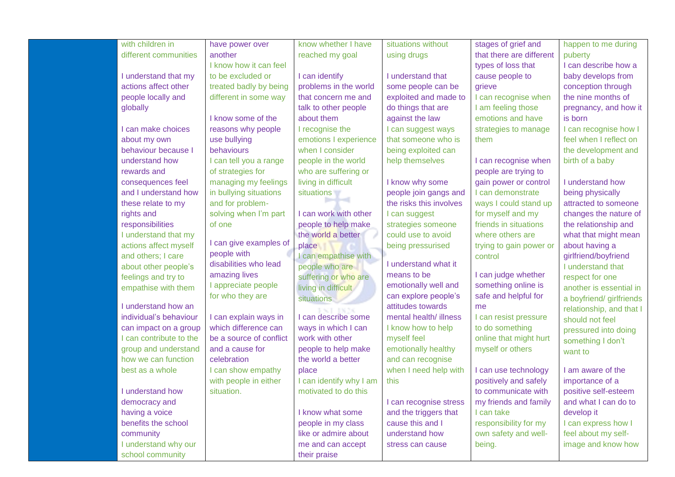| with children in        | have power over         | know whether I have     | situations without      | stages of grief and      | happen to me during      |
|-------------------------|-------------------------|-------------------------|-------------------------|--------------------------|--------------------------|
| different communities   | another                 | reached my goal         | using drugs             | that there are different | puberty                  |
|                         | I know how it can feel  |                         |                         | types of loss that       | I can describe how a     |
| I understand that my    | to be excluded or       | I can identify          | I understand that       | cause people to          | baby develops from       |
| actions affect other    | treated badly by being  | problems in the world   | some people can be      | grieve                   | conception through       |
| people locally and      | different in some way   | that concern me and     | exploited and made to   | I can recognise when     | the nine months of       |
| globally                |                         | talk to other people    | do things that are      | I am feeling those       | pregnancy, and how it    |
|                         | I know some of the      | about them              | against the law         | emotions and have        | is born                  |
| I can make choices      | reasons why people      | I recognise the         | I can suggest ways      | strategies to manage     | I can recognise how I    |
| about my own            | use bullying            | emotions I experience   | that someone who is     | them                     | feel when I reflect on   |
| behaviour because I     | behaviours              | when I consider         | being exploited can     |                          | the development and      |
| understand how          | I can tell you a range  | people in the world     | help themselves         | I can recognise when     | birth of a baby          |
| rewards and             | of strategies for       | who are suffering or    |                         | people are trying to     |                          |
| consequences feel       | managing my feelings    | living in difficult     | I know why some         | gain power or control    | I understand how         |
| and I understand how    | in bullying situations  | situations              | people join gangs and   | I can demonstrate        | being physically         |
| these relate to my      | and for problem-        |                         | the risks this involves | ways I could stand up    | attracted to someone     |
| rights and              | solving when I'm part   | I can work with other   | I can suggest           | for myself and my        | changes the nature of    |
| responsibilities        | of one                  | people to help make     | strategies someone      | friends in situations    | the relationship and     |
| I understand that my    |                         | the world a better      | could use to avoid      | where others are         | what that might mean     |
| actions affect myself   | I can give examples of  | place                   | being pressurised       | trying to gain power or  | about having a           |
| and others; I care      | people with             | I can empathise with    |                         | control                  | girlfriend/boyfriend     |
| about other people's    | disabilities who lead   | people who are          | I understand what it    |                          | I understand that        |
| feelings and try to     | amazing lives           | suffering or who are    | means to be             | I can judge whether      | respect for one          |
| empathise with them     | I appreciate people     | living in difficult     | emotionally well and    | something online is      | another is essential in  |
|                         | for who they are        | situations              | can explore people's    | safe and helpful for     | a boyfriend/ girlfriends |
| I understand how an     |                         |                         | attitudes towards       | me                       | relationship, and that I |
| individual's behaviour  | I can explain ways in   | I can describe some     | mental health/ illness  | I can resist pressure    | should not feel          |
| can impact on a group   | which difference can    | ways in which I can     | I know how to help      | to do something          | pressured into doing     |
| I can contribute to the | be a source of conflict | work with other         | myself feel             | online that might hurt   | something I don't        |
| group and understand    | and a cause for         | people to help make     | emotionally healthy     | myself or others         | want to                  |
| how we can function     | celebration             | the world a better      | and can recognise       |                          |                          |
| best as a whole         | I can show empathy      | place                   | when I need help with   | I can use technology     | I am aware of the        |
|                         | with people in either   | I can identify why I am | this                    | positively and safely    | importance of a          |
| I understand how        | situation.              | motivated to do this    |                         | to communicate with      | positive self-esteem     |
| democracy and           |                         |                         | I can recognise stress  | my friends and family    | and what I can do to     |
| having a voice          |                         | I know what some        | and the triggers that   | I can take               | develop it               |
| benefits the school     |                         | people in my class      | cause this and I        | responsibility for my    | I can express how I      |
| community               |                         | like or admire about    | understand how          | own safety and well-     | feel about my self-      |
| I understand why our    |                         | me and can accept       | stress can cause        | being.                   | image and know how       |
| school community        |                         | their praise            |                         |                          |                          |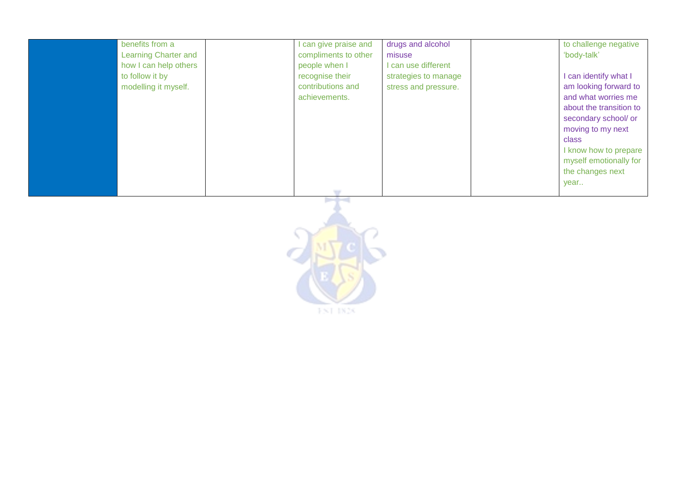| benefits from a             | I can give praise and | drugs and alcohol    | to challenge negative   |
|-----------------------------|-----------------------|----------------------|-------------------------|
| <b>Learning Charter and</b> | compliments to other  | misuse               | 'body-talk'             |
| how I can help others       | people when I         | I can use different  |                         |
| to follow it by             | recognise their       | strategies to manage | can identify what I     |
| modelling it myself.        | contributions and     | stress and pressure. | am looking forward to   |
|                             | achievements.         |                      | and what worries me     |
|                             |                       |                      | about the transition to |
|                             |                       |                      | secondary school/ or    |
|                             |                       |                      | moving to my next       |
|                             |                       |                      | class                   |
|                             |                       |                      | I know how to prepare   |
|                             |                       |                      | myself emotionally for  |
|                             |                       |                      | the changes next        |
|                             |                       |                      | year                    |
|                             |                       |                      |                         |

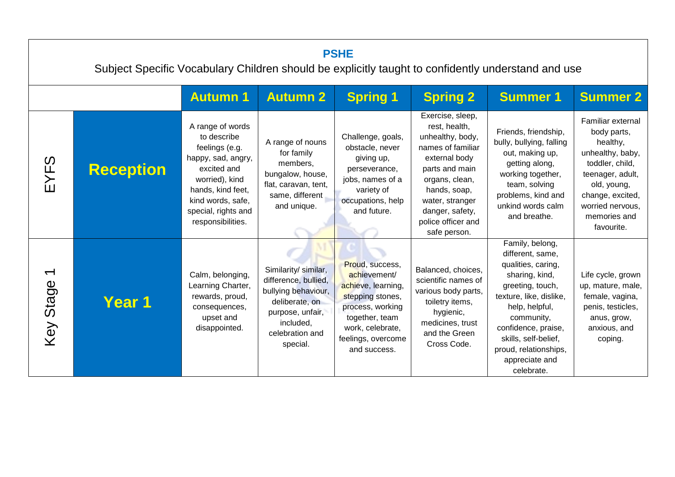| <b>PSHE</b><br>Subject Specific Vocabulary Children should be explicitly taught to confidently understand and use |                  |                                                                                                                                                                                                |                                                                                                                                                       |                                                                                                                                                                           |                                                                                                                                                                                                                             |                                                                                                                                                                                                                                                                    |                                                                                                                                                                                              |  |
|-------------------------------------------------------------------------------------------------------------------|------------------|------------------------------------------------------------------------------------------------------------------------------------------------------------------------------------------------|-------------------------------------------------------------------------------------------------------------------------------------------------------|---------------------------------------------------------------------------------------------------------------------------------------------------------------------------|-----------------------------------------------------------------------------------------------------------------------------------------------------------------------------------------------------------------------------|--------------------------------------------------------------------------------------------------------------------------------------------------------------------------------------------------------------------------------------------------------------------|----------------------------------------------------------------------------------------------------------------------------------------------------------------------------------------------|--|
|                                                                                                                   |                  | <b>Autumn 1</b>                                                                                                                                                                                | <b>Autumn 2</b>                                                                                                                                       | <b>Spring 1</b>                                                                                                                                                           | <b>Spring 2</b>                                                                                                                                                                                                             | <b>Summer 1</b>                                                                                                                                                                                                                                                    | <b>Summer 2</b>                                                                                                                                                                              |  |
| EYFS                                                                                                              | <b>Reception</b> | A range of words<br>to describe<br>feelings (e.g.<br>happy, sad, angry,<br>excited and<br>worried), kind<br>hands, kind feet,<br>kind words, safe,<br>special, rights and<br>responsibilities. | A range of nouns<br>for family<br>members.<br>bungalow, house,<br>flat, caravan, tent,<br>same, different<br>and unique.                              | Challenge, goals,<br>obstacle, never<br>giving up,<br>perseverance,<br>jobs, names of a<br>variety of<br>occupations, help<br>and future.                                 | Exercise, sleep,<br>rest, health,<br>unhealthy, body,<br>names of familiar<br>external body<br>parts and main<br>organs, clean,<br>hands, soap,<br>water, stranger<br>danger, safety,<br>police officer and<br>safe person. | Friends, friendship,<br>bully, bullying, falling<br>out, making up,<br>getting along,<br>working together,<br>team, solving<br>problems, kind and<br>unkind words calm<br>and breathe.                                                                             | Familiar external<br>body parts,<br>healthy,<br>unhealthy, baby,<br>toddler, child,<br>teenager, adult,<br>old, young,<br>change, excited,<br>worried nervous,<br>memories and<br>favourite. |  |
| $\blacktriangledown$<br>Key Stage                                                                                 | Year 1           | Calm, belonging,<br>Learning Charter,<br>rewards, proud,<br>consequences,<br>upset and<br>disappointed.                                                                                        | Similarity/ similar,<br>difference, bullied,<br>bullying behaviour,<br>deliberate, on<br>purpose, unfair,<br>included,<br>celebration and<br>special. | Proud, success,<br>achievement/<br>achieve, learning,<br>stepping stones,<br>process, working<br>together, team<br>work, celebrate,<br>feelings, overcome<br>and success. | Balanced, choices,<br>scientific names of<br>various body parts,<br>toiletry items,<br>hygienic,<br>medicines, trust<br>and the Green<br>Cross Code.                                                                        | Family, belong,<br>different, same,<br>qualities, caring,<br>sharing, kind,<br>greeting, touch,<br>texture, like, dislike,<br>help, helpful,<br>community,<br>confidence, praise,<br>skills, self-belief,<br>proud, relationships,<br>appreciate and<br>celebrate. | Life cycle, grown<br>up, mature, male,<br>female, vagina,<br>penis, testicles,<br>anus, grow,<br>anxious, and<br>coping.                                                                     |  |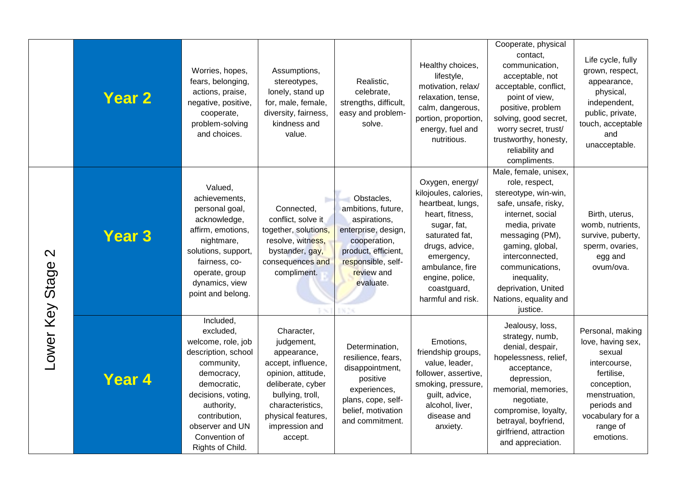|                   | <b>Year 2</b> | Worries, hopes,<br>fears, belonging,<br>actions, praise,<br>negative, positive,<br>cooperate,<br>problem-solving<br>and choices.                                                                                            | Assumptions,<br>stereotypes,<br>lonely, stand up<br>for, male, female,<br>diversity, fairness,<br>kindness and<br>value.                                                                            | Realistic,<br>celebrate,<br>strengths, difficult,<br>easy and problem-<br>solve.                                                                                | Healthy choices,<br>lifestyle,<br>motivation, relax/<br>relaxation, tense,<br>calm, dangerous,<br>portion, proportion,<br>energy, fuel and<br>nutritious.                                                                   | Cooperate, physical<br>contact,<br>communication,<br>acceptable, not<br>acceptable, conflict,<br>point of view,<br>positive, problem<br>solving, good secret,<br>worry secret, trust/<br>trustworthy, honesty,<br>reliability and<br>compliments.                                    | Life cycle, fully<br>grown, respect,<br>appearance,<br>physical,<br>independent,<br>public, private,<br>touch, acceptable<br>and<br>unacceptable.                         |
|-------------------|---------------|-----------------------------------------------------------------------------------------------------------------------------------------------------------------------------------------------------------------------------|-----------------------------------------------------------------------------------------------------------------------------------------------------------------------------------------------------|-----------------------------------------------------------------------------------------------------------------------------------------------------------------|-----------------------------------------------------------------------------------------------------------------------------------------------------------------------------------------------------------------------------|--------------------------------------------------------------------------------------------------------------------------------------------------------------------------------------------------------------------------------------------------------------------------------------|---------------------------------------------------------------------------------------------------------------------------------------------------------------------------|
| $\mathbf{\Omega}$ | <b>Year 3</b> | Valued,<br>achievements,<br>personal goal,<br>acknowledge,<br>affirm, emotions,<br>nightmare,<br>solutions, support,<br>fairness, co-<br>operate, group<br>dynamics, view<br>point and belong.                              | b.<br>Connected,<br>conflict, solve it<br>together, solutions,<br>resolve, witness,<br>bystander, gay,<br>consequences and<br>compliment.                                                           | Obstacles,<br>ambitions, future,<br>aspirations,<br>enterprise, design,<br>cooperation,<br>product, efficient,<br>responsible, self-<br>review and<br>evaluate. | Oxygen, energy/<br>kilojoules, calories,<br>heartbeat, lungs,<br>heart, fitness,<br>sugar, fat,<br>saturated fat,<br>drugs, advice,<br>emergency,<br>ambulance, fire<br>engine, police,<br>coastguard,<br>harmful and risk. | Male, female, unisex,<br>role, respect,<br>stereotype, win-win,<br>safe, unsafe, risky,<br>internet, social<br>media, private<br>messaging (PM),<br>gaming, global,<br>interconnected,<br>communications,<br>inequality,<br>deprivation, United<br>Nations, equality and<br>justice. | Birth, uterus,<br>womb, nutrients,<br>survive, puberty,<br>sperm, ovaries,<br>egg and<br>ovum/ova.                                                                        |
| Lower Key Stage   | Year 4        | Included,<br>excluded,<br>welcome, role, job<br>description, school<br>community,<br>democracy,<br>democratic,<br>decisions, voting,<br>authority,<br>contribution,<br>observer and UN<br>Convention of<br>Rights of Child. | Character,<br>judgement,<br>appearance,<br>accept, influence,<br>opinion, attitude,<br>deliberate, cyber<br>bullying, troll,<br>characteristics,<br>physical features,<br>impression and<br>accept. | Determination,<br>resilience, fears,<br>disappointment,<br>positive<br>experiences,<br>plans, cope, self-<br>belief, motivation<br>and commitment.              | Emotions,<br>friendship groups,<br>value, leader,<br>follower, assertive,<br>smoking, pressure,<br>guilt, advice,<br>alcohol, liver,<br>disease and<br>anxiety.                                                             | Jealousy, loss,<br>strategy, numb,<br>denial, despair,<br>hopelessness, relief,<br>acceptance,<br>depression,<br>memorial, memories,<br>negotiate,<br>compromise, loyalty,<br>betrayal, boyfriend,<br>girlfriend, attraction<br>and appreciation.                                    | Personal, making<br>love, having sex,<br>sexual<br>intercourse.<br>fertilise,<br>conception,<br>menstruation,<br>periods and<br>vocabulary for a<br>range of<br>emotions. |